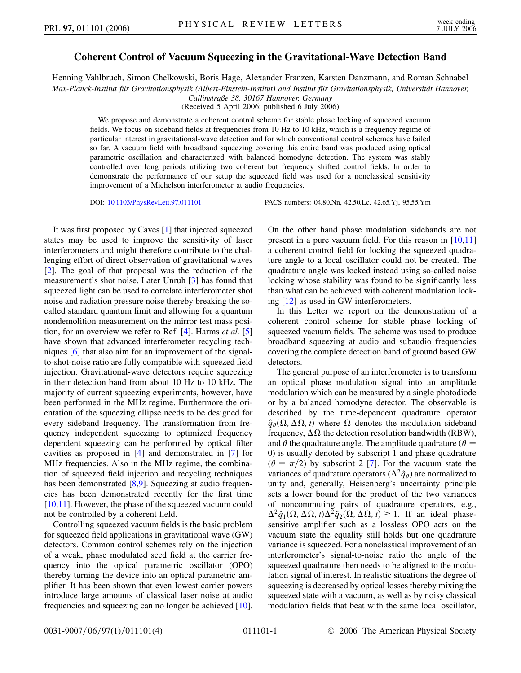## **Coherent Control of Vacuum Squeezing in the Gravitational-Wave Detection Band**

Henning Vahlbruch, Simon Chelkowski, Boris Hage, Alexander Franzen, Karsten Danzmann, and Roman Schnabel *Max-Planck-Institut fu¨r Gravitationsphysik (Albert-Einstein-Institut) and Institut fu¨r Gravitationsphysik, Universita¨t Hannover, Callinstraße 38, 30167 Hannover, Germany*

(Received 5 April 2006; published 6 July 2006)

We propose and demonstrate a coherent control scheme for stable phase locking of squeezed vacuum fields. We focus on sideband fields at frequencies from 10 Hz to 10 kHz, which is a frequency regime of particular interest in gravitational-wave detection and for which conventional control schemes have failed so far. A vacuum field with broadband squeezing covering this entire band was produced using optical parametric oscillation and characterized with balanced homodyne detection. The system was stably controlled over long periods utilizing two coherent but frequency shifted control fields. In order to demonstrate the performance of our setup the squeezed field was used for a nonclassical sensitivity improvement of a Michelson interferometer at audio frequencies.

DOI: [10.1103/PhysRevLett.97.011101](http://dx.doi.org/10.1103/PhysRevLett.97.011101) PACS numbers: 04.80.Nn, 42.50.Lc, 42.65.Yj, 95.55.Ym

It was first proposed by Caves [\[1\]](#page-3-0) that injected squeezed states may be used to improve the sensitivity of laser interferometers and might therefore contribute to the challenging effort of direct observation of gravitational waves [\[2\]](#page-3-1). The goal of that proposal was the reduction of the measurement's shot noise. Later Unruh [[3](#page-3-2)] has found that squeezed light can be used to correlate interferometer shot noise and radiation pressure noise thereby breaking the socalled standard quantum limit and allowing for a quantum nondemolition measurement on the mirror test mass position, for an overview we refer to Ref. [[4](#page-3-3)]. Harms *et al.* [\[5\]](#page-3-4) have shown that advanced interferometer recycling techniques [[6\]](#page-3-5) that also aim for an improvement of the signalto-shot-noise ratio are fully compatible with squeezed field injection. Gravitational-wave detectors require squeezing in their detection band from about 10 Hz to 10 kHz. The majority of current squeezing experiments, however, have been performed in the MHz regime. Furthermore the orientation of the squeezing ellipse needs to be designed for every sideband frequency. The transformation from frequency independent squeezing to optimized frequency dependent squeezing can be performed by optical filter cavities as proposed in [\[4](#page-3-3)] and demonstrated in [[7\]](#page-3-6) for MHz frequencies. Also in the MHz regime, the combination of squeezed field injection and recycling techniques has been demonstrated [\[8](#page-3-7),[9](#page-3-8)]. Squeezing at audio frequencies has been demonstrated recently for the first time [\[10](#page-3-9)[,11\]](#page-3-10). However, the phase of the squeezed vacuum could not be controlled by a coherent field.

Controlling squeezed vacuum fields is the basic problem for squeezed field applications in gravitational wave (GW) detectors. Common control schemes rely on the injection of a weak, phase modulated seed field at the carrier frequency into the optical parametric oscillator (OPO) thereby turning the device into an optical parametric amplifier. It has been shown that even lowest carrier powers introduce large amounts of classical laser noise at audio frequencies and squeezing can no longer be achieved [[10\]](#page-3-9). On the other hand phase modulation sidebands are not present in a pure vacuum field. For this reason in [\[10,](#page-3-9)[11\]](#page-3-10) a coherent control field for locking the squeezed quadrature angle to a local oscillator could not be created. The quadrature angle was locked instead using so-called noise locking whose stability was found to be significantly less than what can be achieved with coherent modulation locking [[12](#page-3-11)] as used in GW interferometers.

In this Letter we report on the demonstration of a coherent control scheme for stable phase locking of squeezed vacuum fields. The scheme was used to produce broadband squeezing at audio and subaudio frequencies covering the complete detection band of ground based GW detectors.

The general purpose of an interferometer is to transform an optical phase modulation signal into an amplitude modulation which can be measured by a single photodiode or by a balanced homodyne detector. The observable is described by the time-dependent quadrature operator  $\hat{q}_{\theta}(\Omega, \Delta\Omega, t)$  where  $\Omega$  denotes the modulation sideband frequency,  $\Delta\Omega$  the detection resolution bandwidth (RBW), and  $\theta$  the quadrature angle. The amplitude quadrature ( $\theta$  = 0) is usually denoted by subscript 1 and phase quadrature  $(\theta = \pi/2)$  by subscript 2 [[7\]](#page-3-6). For the vacuum state the variances of quadrature operators ( $\Delta^2 \hat{q}_{\theta}$ ) are normalized to unity and, generally, Heisenberg's uncertainty principle sets a lower bound for the product of the two variances of noncommuting pairs of quadrature operators, e.g.,  $\Delta^2 \hat{q}_1(\Omega, \Delta \Omega, t) \Delta^2 \hat{q}_2(\Omega, \Delta \Omega, t) \ge 1$ . If an ideal phasesensitive amplifier such as a lossless OPO acts on the vacuum state the equality still holds but one quadrature variance is squeezed. For a nonclassical improvement of an interferometer's signal-to-noise ratio the angle of the squeezed quadrature then needs to be aligned to the modulation signal of interest. In realistic situations the degree of squeezing is decreased by optical losses thereby mixing the squeezed state with a vacuum, as well as by noisy classical modulation fields that beat with the same local oscillator,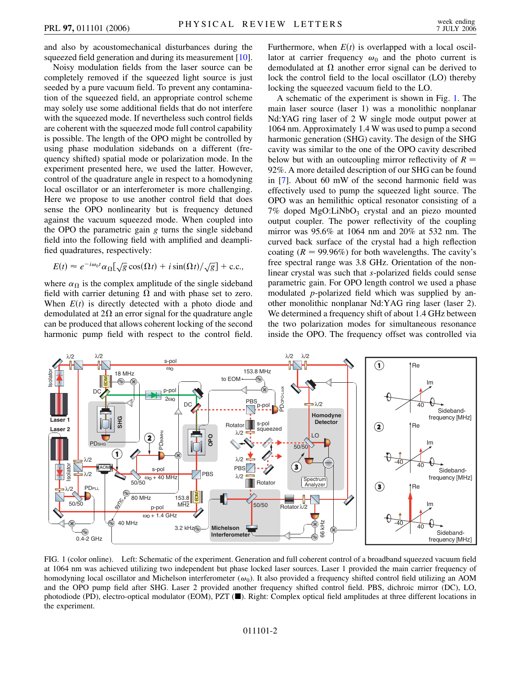and also by acoustomechanical disturbances during the squeezed field generation and during its measurement [[10\]](#page-3-9).

Noisy modulation fields from the laser source can be completely removed if the squeezed light source is just seeded by a pure vacuum field. To prevent any contamination of the squeezed field, an appropriate control scheme may solely use some additional fields that do not interfere with the squeezed mode. If nevertheless such control fields are coherent with the squeezed mode full control capability is possible. The length of the OPO might be controlled by using phase modulation sidebands on a different (frequency shifted) spatial mode or polarization mode. In the experiment presented here, we used the latter. However, control of the quadrature angle in respect to a homodyning local oscillator or an interferometer is more challenging. Here we propose to use another control field that does sense the OPO nonlinearity but is frequency detuned against the vacuum squeezed mode. When coupled into the OPO the parametric gain *g* turns the single sideband field into the following field with amplified and deamplified quadratures, respectively:

$$
E(t) \approx e^{-i\omega_0 t} \alpha_{\Omega} [\sqrt{g} \cos(\Omega t) + i \sin(\Omega t) / \sqrt{g}] + \text{c.c.},
$$

where  $\alpha_{\Omega}$  is the complex amplitude of the single sideband field with carrier detuning  $\Omega$  and with phase set to zero. When  $E(t)$  is directly detected with a photo diode and demodulated at  $2\Omega$  an error signal for the quadrature angle can be produced that allows coherent locking of the second harmonic pump field with respect to the control field.

Furthermore, when  $E(t)$  is overlapped with a local oscillator at carrier frequency  $\omega_0$  and the photo current is demodulated at  $\Omega$  another error signal can be derived to lock the control field to the local oscillator (LO) thereby locking the squeezed vacuum field to the LO.

A schematic of the experiment is shown in Fig. [1.](#page-1-0) The main laser source (laser 1) was a monolithic nonplanar Nd:YAG ring laser of 2 W single mode output power at 1064 nm. Approximately 1.4 W was used to pump a second harmonic generation (SHG) cavity. The design of the SHG cavity was similar to the one of the OPO cavity described below but with an outcoupling mirror reflectivity of  $R =$ 92%. A more detailed description of our SHG can be found in [[7](#page-3-6)]. About 60 mW of the second harmonic field was effectively used to pump the squeezed light source. The OPO was an hemilithic optical resonator consisting of a  $7\%$  doped MgO:LiNbO<sub>3</sub> crystal and an piezo mounted output coupler. The power reflectivity of the coupling mirror was 95.6% at 1064 nm and 20% at 532 nm. The curved back surface of the crystal had a high reflection coating  $(R = 99.96\%)$  for both wavelengths. The cavity's free spectral range was 3.8 GHz. Orientation of the nonlinear crystal was such that *s*-polarized fields could sense parametric gain. For OPO length control we used a phase modulated *p*-polarized field which was supplied by another monolithic nonplanar Nd:YAG ring laser (laser 2). We determined a frequency shift of about 1.4 GHz between the two polarization modes for simultaneous resonance inside the OPO. The frequency offset was controlled via

<span id="page-1-0"></span>

FIG. 1 (color online). Left: Schematic of the experiment. Generation and full coherent control of a broadband squeezed vacuum field at 1064 nm was achieved utilizing two independent but phase locked laser sources. Laser 1 provided the main carrier frequency of homodyning local oscillator and Michelson interferometer  $(\omega_0)$ . It also provided a frequency shifted control field utilizing an AOM and the OPO pump field after SHG. Laser 2 provided another frequency shifted control field. PBS, dichroic mirror (DC), LO, photodiode (PD), electro-optical modulator (EOM), PZT ( $\blacksquare$ ). Right: Complex optical field amplitudes at three different locations in the experiment.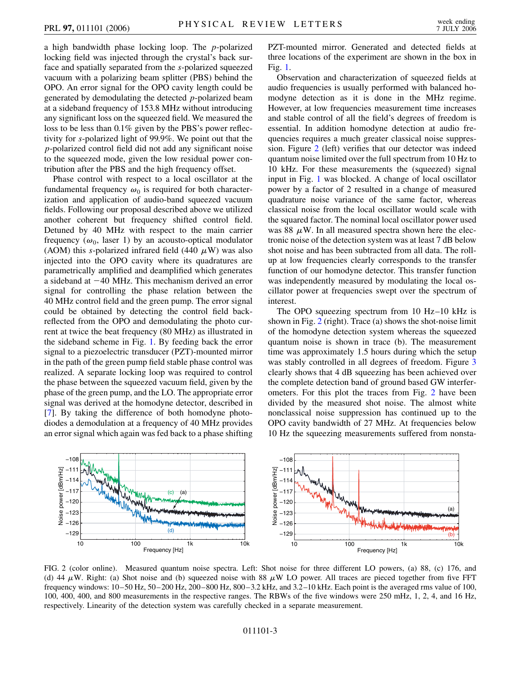a high bandwidth phase locking loop. The *p*-polarized locking field was injected through the crystal's back surface and spatially separated from the *s*-polarized squeezed vacuum with a polarizing beam splitter (PBS) behind the OPO. An error signal for the OPO cavity length could be generated by demodulating the detected *p*-polarized beam at a sideband frequency of 153.8 MHz without introducing any significant loss on the squeezed field. We measured the loss to be less than 0.1% given by the PBS's power reflectivity for *s*-polarized light of 99.9%. We point out that the *p*-polarized control field did not add any significant noise to the squeezed mode, given the low residual power contribution after the PBS and the high frequency offset.

Phase control with respect to a local oscillator at the fundamental frequency  $\omega_0$  is required for both characterization and application of audio-band squeezed vacuum fields. Following our proposal described above we utilized another coherent but frequency shifted control field. Detuned by 40 MHz with respect to the main carrier frequency ( $\omega_0$ , laser 1) by an acousto-optical modulator (AOM) this *s*-polarized infrared field (440  $\mu$ W) was also injected into the OPO cavity where its quadratures are parametrically amplified and deamplified which generates a sideband at  $-40$  MHz. This mechanism derived an error signal for controlling the phase relation between the 40 MHz control field and the green pump. The error signal could be obtained by detecting the control field backreflected from the OPO and demodulating the photo current at twice the beat frequency (80 MHz) as illustrated in the sideband scheme in Fig. [1.](#page-1-0) By feeding back the error signal to a piezoelectric transducer (PZT)-mounted mirror in the path of the green pump field stable phase control was realized. A separate locking loop was required to control the phase between the squeezed vacuum field, given by the phase of the green pump, and the LO. The appropriate error signal was derived at the homodyne detector, described in [\[7\]](#page-3-6). By taking the difference of both homodyne photodiodes a demodulation at a frequency of 40 MHz provides an error signal which again was fed back to a phase shifting PZT-mounted mirror. Generated and detected fields at three locations of the experiment are shown in the box in Fig. [1.](#page-1-0)

Observation and characterization of squeezed fields at audio frequencies is usually performed with balanced homodyne detection as it is done in the MHz regime. However, at low frequencies measurement time increases and stable control of all the field's degrees of freedom is essential. In addition homodyne detection at audio frequencies requires a much greater classical noise suppression. Figure [2](#page-2-0) (left) verifies that our detector was indeed quantum noise limited over the full spectrum from 10 Hz to 10 kHz. For these measurements the (squeezed) signal input in Fig. [1](#page-1-0) was blocked. A change of local oscillator power by a factor of 2 resulted in a change of measured quadrature noise variance of the same factor, whereas classical noise from the local oscillator would scale with the squared factor. The nominal local oscillator power used was 88  $\mu$ W. In all measured spectra shown here the electronic noise of the detection system was at least 7 dB below shot noise and has been subtracted from all data. The rollup at low frequencies clearly corresponds to the transfer function of our homodyne detector. This transfer function was independently measured by modulating the local oscillator power at frequencies swept over the spectrum of interest.

The OPO squeezing spectrum from 10 Hz–10 kHz is shown in Fig. [2](#page-2-0) (right). Trace (a) shows the shot-noise limit of the homodyne detection system whereas the squeezed quantum noise is shown in trace (b). The measurement time was approximately 1.5 hours during which the setup was stably controlled in all degrees of freedom. Figure [3](#page-3-12) clearly shows that 4 dB squeezing has been achieved over the complete detection band of ground based GW interferometers. For this plot the traces from Fig. [2](#page-2-0) have been divided by the measured shot noise. The almost white nonclassical noise suppression has continued up to the OPO cavity bandwidth of 27 MHz. At frequencies below 10 Hz the squeezing measurements suffered from nonsta-

<span id="page-2-0"></span>

FIG. 2 (color online). Measured quantum noise spectra. Left: Shot noise for three different LO powers, (a) 88, (c) 176, and (d) 44  $\mu$ W. Right: (a) Shot noise and (b) squeezed noise with 88  $\mu$ W LO power. All traces are pieced together from five FFT frequency windows: 10–50 Hz, 50–200 Hz, 200–800 Hz, 800–3.2 kHz, and 3.2–10 kHz. Each point is the averaged rms value of 100, 100, 400, 400, and 800 measurements in the respective ranges. The RBWs of the five windows were 250 mHz, 1, 2, 4, and 16 Hz, respectively. Linearity of the detection system was carefully checked in a separate measurement.